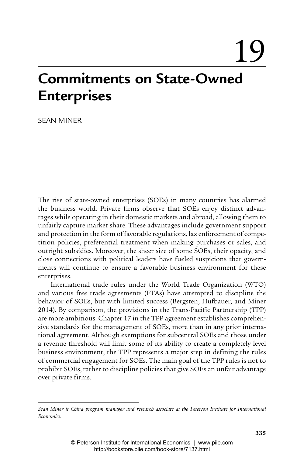# 19

## **Commitments on State-Owned Enterprises**

SEAN MINER

The rise of state-owned enterprises (SOEs) in many countries has alarmed the business world. Private firms observe that SOEs enjoy distinct advantages while operating in their domestic markets and abroad, allowing them to unfairly capture market share. These advantages include government support and protection in the form of favorable regulations, lax enforcement of competition policies, preferential treatment when making purchases or sales, and outright subsidies. Moreover, the sheer size of some SOEs, their opacity, and close connections with political leaders have fueled suspicions that governments will continue to ensure a favorable business environment for these enterprises.

International trade rules under the World Trade Organization (WTO) and various free trade agreements (FTAs) have attempted to discipline the behavior of SOEs, but with limited success (Bergsten, Hufbauer, and Miner 2014). By comparison, the provisions in the Trans-Pacific Partnership (TPP) are more ambitious. Chapter 17 in the TPP agreement establishes comprehensive standards for the management of SOEs, more than in any prior international agreement. Although exemptions for subcentral SOEs and those under a revenue threshold will limit some of its ability to create a completely level business environment, the TPP represents a major step in defining the rules of commercial engagement for SOEs. The main goal of the TPP rules is not to prohibit SOEs, rather to discipline policies that give SOEs an unfair advantage over private firms.

*Sean Miner is China program manager and research associate at the Peterson Institute for International Economics.*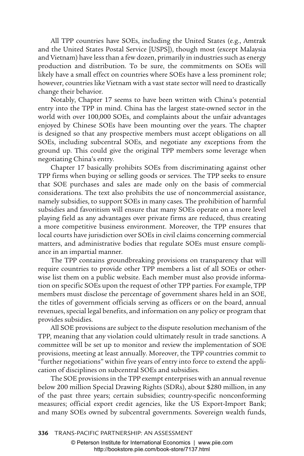All TPP countries have SOEs, including the United States (e.g., Amtrak and the United States Postal Service [USPS]), though most (except Malaysia and Vietnam) have less than a few dozen, primarily in industries such as energy production and distribution. To be sure, the commitments on SOEs will likely have a small effect on countries where SOEs have a less prominent role; however, countries like Vietnam with a vast state sector will need to drastically change their behavior.

Notably, Chapter 17 seems to have been written with China's potential entry into the TPP in mind. China has the largest state-owned sector in the world with over 100,000 SOEs, and complaints about the unfair advantages enjoyed by Chinese SOEs have been mounting over the years. The chapter is designed so that any prospective members must accept obligations on all SOEs, including subcentral SOEs, and negotiate any exceptions from the ground up. This could give the original TPP members some leverage when negotiating China's entry.

Chapter 17 basically prohibits SOEs from discriminating against other TPP firms when buying or selling goods or services. The TPP seeks to ensure that SOE purchases and sales are made only on the basis of commercial considerations. The text also prohibits the use of noncommercial assistance, namely subsidies, to support SOEs in many cases. The prohibition of harmful subsidies and favoritism will ensure that many SOEs operate on a more level playing field as any advantages over private firms are reduced, thus creating a more competitive business environment. Moreover, the TPP ensures that local courts have jurisdiction over SOEs in civil claims concerning commercial matters, and administrative bodies that regulate SOEs must ensure compliance in an impartial manner.

The TPP contains groundbreaking provisions on transparency that will require countries to provide other TPP members a list of all SOEs or otherwise list them on a public website. Each member must also provide information on specific SOEs upon the request of other TPP parties. For example, TPP members must disclose the percentage of government shares held in an SOE, the titles of government officials serving as officers or on the board, annual revenues, special legal benefits, and information on any policy or program that provides subsidies.

All SOE provisions are subject to the dispute resolution mechanism of the TPP, meaning that any violation could ultimately result in trade sanctions. A committee will be set up to monitor and review the implementation of SOE provisions, meeting at least annually. Moreover, the TPP countries commit to "further negotiations" within five years of entry into force to extend the application of disciplines on subcentral SOEs and subsidies.

The SOE provisions in the TPP exempt enterprises with an annual revenue below 200 million Special Drawing Rights (SDRs), about \$280 million, in any of the past three years; certain subsidies; country-specific nonconforming measures; official export credit agencies, like the US Export-Import Bank; and many SOEs owned by subcentral governments. Sovereign wealth funds,

**336** TRANS-PACIFIC PARTNERSHIP: AN ASSESSMENT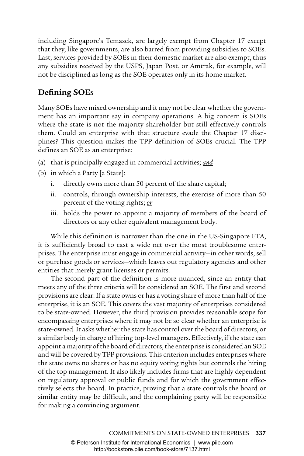including Singapore's Temasek, are largely exempt from Chapter 17 except that they, like governments, are also barred from providing subsidies to SOEs. Last, services provided by SOEs in their domestic market are also exempt, thus any subsidies received by the USPS, Japan Post, or Amtrak, for example, will not be disciplined as long as the SOE operates only in its home market.

### **Defining SOE<sup>s</sup>**

Many SOEs have mixed ownership and it may not be clear whether the government has an important say in company operations. A big concern is SOEs where the state is not the majority shareholder but still effectively controls them. Could an enterprise with that structure evade the Chapter 17 disciplines? This question makes the TPP definition of SOEs crucial. The TPP defines an SOE as an enterprise:

- (a) that is principally engaged in commercial activities; *and*
- (b) in which a Party [a State]:
	- i. directly owns more than 50 percent of the share capital;
	- ii. controls, through ownership interests, the exercise of more than 50 percent of the voting rights; *or*
	- iii. holds the power to appoint a majority of members of the board of directors or any other equivalent management body.

While this definition is narrower than the one in the US-Singapore FTA, it is sufficiently broad to cast a wide net over the most troublesome enterprises. The enterprise must engage in commercial activity—in other words, sell or purchase goods or services—which leaves out regulatory agencies and other entities that merely grant licenses or permits.

The second part of the definition is more nuanced, since an entity that meets any of the three criteria will be considered an SOE. The first and second provisions are clear: If a state owns or has a voting share of more than half of the enterprise, it is an SOE. This covers the vast majority of enterprises considered to be state-owned. However, the third provision provides reasonable scope for encompassing enterprises where it may not be so clear whether an enterprise is state-owned. It asks whether the state has control over the board of directors, or a similar body in charge of hiring top-level managers. Effectively, if the state can appoint a majority of the board of directors, the enterprise is considered an SOE and will be covered by TPP provisions. This criterion includes enterprises where the state owns no shares or has no equity voting rights but controls the hiring of the top management. It also likely includes firms that are highly dependent on regulatory approval or public funds and for which the government effectively selects the board. In practice, proving that a state controls the board or similar entity may be difficult, and the complaining party will be responsible for making a convincing argument.

http://bookstore.piie.com/book-store/7137.html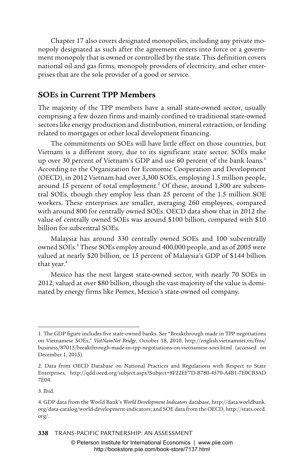Chapter 17 also covers designated monopolies, including any private monopoly designated as such after the agreement enters into force or a government monopoly that is owned or controlled by the state. This definition covers national oil and gas firms, monopoly providers of electricity, and other enterprises that are the sole provider of a good or service.

#### **SOEs in Current TPP Members**

The majority of the TPP members have a small state-owned sector, usually comprising a few dozen firms and mainly confined to traditional state-owned sectors like energy production and distribution, mineral extraction, or lending related to mortgages or other local development financing.

The commitments on SOEs will have little effect on those countries, but Vietnam is a different story, due to its significant state sector. SOEs make up over 30 percent of Vietnam's GDP and use 60 percent of the bank loans.<sup>1</sup> According to the Organization for Economic Cooperation and Development (OECD), in 2012 Vietnam had over 3,300 SOEs, employing 1.5 million people, around 15 percent of total employment. $^2$  Of these, around 1,500 are subcentral SOEs, though they employ less than 25 percent of the 1.5 million SOE workers. These enterprises are smaller, averaging 260 employees, compared with around 800 for centrally owned SOEs. OECD data show that in 2012 the value of centrally owned SOEs was around \$100 billion, compared with \$10 billion for subcentral SOEs.

Malaysia has around 330 centrally owned SOEs and 100 subcentrally owned SOEs.<sup>3</sup> These SOEs employ around 400,000 people, and as of 2005 were valued at nearly \$20 billion, or 15 percent of Malaysia's GDP of \$144 billion that year.<sup>4</sup>

Mexico has the next largest state-owned sector, with nearly 70 SOEs in 2012, valued at over \$80 billion, though the vast majority of the value is dominated by energy firms like Pemex, Mexico's state-owned oil company.

3. Ibid.

**338** TRANS-PACIFIC PARTNERSHIP: AN ASSESSMENT

<sup>1.</sup> The GDP figure includes five state-owned banks. See "Breakthrough made in TPP negotiations on Vietnamese SOEs," *VietNamNet Bridge*, October 18, 2010, http://english.vietnamnet.vn/fms/ business/87015/breakthrough-made-in-tpp-negotiations-on-vietnamese-soes.html (accessed on December 1, 2015).

<sup>2.</sup> Data from OECD Database on National Practices and Regulations with Respect to State Enterprises, http://qdd.oecd.org/subject.aspx?Subject=8F22EF7D-B780-4570-A4B1-7E0CB3AD 7E04.

<sup>4.</sup> GDP data from the World Bank's *World Development Indicators* database, http://data.worldbank. org/data-catalog/world-development-indicators; and SOE data from the OECD, http://stats.oecd. org/.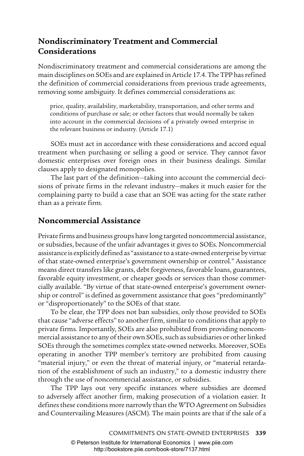#### **Nondiscriminatory Treatment and Commercial Considerations**

Nondiscriminatory treatment and commercial considerations are among the main disciplines on SOEs and are explained in Article 17.4. The TPP has refined the definition of commercial considerations from previous trade agreements, removing some ambiguity. It defines commercial considerations as:

price, quality, availability, marketability, transportation, and other terms and conditions of purchase or sale; or other factors that would normally be taken into account in the commercial decisions of a privately owned enterprise in the relevant business or industry. (Article 17.1)

SOEs must act in accordance with these considerations and accord equal treatment when purchasing or selling a good or service. They cannot favor domestic enterprises over foreign ones in their business dealings. Similar clauses apply to designated monopolies.

The last part of the definition—taking into account the commercial decisions of private firms in the relevant industry—makes it much easier for the complaining party to build a case that an SOE was acting for the state rather than as a private firm.

#### **Noncommercial Assistance**

Private firms and business groups have long targeted noncommercial assistance, or subsidies, because of the unfair advantages it gives to SOEs. Noncommercial assistance is explicitly defined as "assistance to a state-owned enterprise by virtue of that state-owned enterprise's government ownership or control." Assistance means direct transfers like grants, debt forgiveness, favorable loans, guarantees, favorable equity investment, or cheaper goods or services than those commercially available. "By virtue of that state-owned enterprise's government ownership or control" is defined as government assistance that goes "predominantly" or "disproportionately" to the SOEs of that state.

To be clear, the TPP does not ban subsidies, only those provided to SOEs that cause "adverse effects" to another firm, similar to conditions that apply to private firms. Importantly, SOEs are also prohibited from providing noncommercial assistance to any of their own SOEs, such as subsidiaries or other linked SOEs through the sometimes complex state-owned networks. Moreover, SOEs operating in another TPP member's territory are prohibited from causing "material injury," or even the threat of material injury, or "material retardation of the establishment of such an industry," to a domestic industry there through the use of noncommercial assistance, or subsidies.

The TPP lays out very specific instances where subsidies are deemed to adversely affect another firm, making prosecution of a violation easier. It defines these conditions more narrowly than the WTO Agreement on Subsidies and Countervailing Measures (ASCM). The main points are that if the sale of a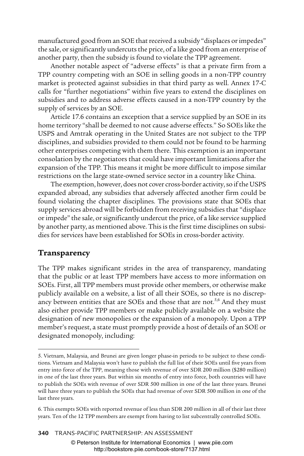manufactured good from an SOE that received a subsidy "displaces or impedes" the sale, or significantly undercuts the price, of a like good from an enterprise of another party, then the subsidy is found to violate the TPP agreement.

Another notable aspect of "adverse effects" is that a private firm from a TPP country competing with an SOE in selling goods in a non-TPP country market is protected against subsidies in that third party as well. Annex 17-C calls for "further negotiations" within five years to extend the disciplines on subsidies and to address adverse effects caused in a non-TPP country by the supply of services by an SOE.

Article 17.6 contains an exception that a service supplied by an SOE in its home territory "shall be deemed to not cause adverse effects." So SOEs like the USPS and Amtrak operating in the United States are not subject to the TPP disciplines, and subsidies provided to them could not be found to be harming other enterprises competing with them there. This exemption is an important consolation by the negotiators that could have important limitations after the expansion of the TPP. This means it might be more difficult to impose similar restrictions on the large state-owned service sector in a country like China.

The exemption, however, does not cover cross-border activity, so if the USPS expanded abroad, any subsidies that adversely affected another firm could be found violating the chapter disciplines. The provisions state that SOEs that supply services abroad will be forbidden from receiving subsidies that "displace or impede" the sale, or significantly undercut the price, of a like service supplied by another party, as mentioned above. This is the first time disciplines on subsidies for services have been established for SOEs in cross-border activity.

#### **Transparency**

The TPP makes significant strides in the area of transparency, mandating that the public or at least TPP members have access to more information on SOEs. First, all TPP members must provide other members, or otherwise make publicly available on a website, a list of all their SOEs, so there is no discrepancy between entities that are SOEs and those that are not.<sup>5,6</sup> And they must also either provide TPP members or make publicly available on a website the designation of new monopolies or the expansion of a monopoly. Upon a TPP member's request, a state must promptly provide a host of details of an SOE or designated monopoly, including:

<sup>5.</sup> Vietnam, Malaysia, and Brunei are given longer phase-in periods to be subject to these conditions. Vietnam and Malaysia won't have to publish the full list of their SOEs until five years from entry into force of the TPP, meaning those with revenue of over SDR 200 million (\$280 million) in one of the last three years. But within six months of entry into force, both countries will have to publish the SOEs with revenue of over SDR 500 million in one of the last three years. Brunei will have three years to publish the SOEs that had revenue of over SDR 500 million in one of the last three years.

<sup>6.</sup> This exempts SOEs with reported revenue of less than SDR 200 million in all of their last three years. Ten of the 12 TPP members are exempt from having to list subcentrally controlled SOEs.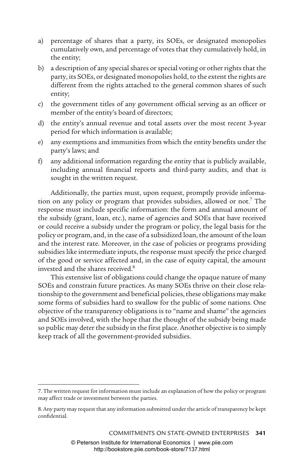- a) percentage of shares that a party, its SOEs, or designated monopolies cumulatively own, and percentage of votes that they cumulatively hold, in the entity;
- b) a description of any special shares or special voting or other rights that the party, its SOEs, or designated monopolies hold, to the extent the rights are different from the rights attached to the general common shares of such entity;
- c) the government titles of any government official serving as an officer or member of the entity's board of directors;
- d) the entity's annual revenue and total assets over the most recent 3-year period for which information is available;
- e) any exemptions and immunities from which the entity benefits under the party's laws; and
- f) any additional information regarding the entity that is publicly available, including annual financial reports and third-party audits, and that is sought in the written request.

Additionally, the parties must, upon request, promptly provide information on any policy or program that provides subsidies, allowed or not.<sup>7</sup> The response must include specific information: the form and annual amount of the subsidy (grant, loan, etc.), name of agencies and SOEs that have received or could receive a subsidy under the program or policy, the legal basis for the policy or program, and, in the case of a subsidized loan, the amount of the loan and the interest rate. Moreover, in the case of policies or programs providing subsidies like intermediate inputs, the response must specify the price charged of the good or service affected and, in the case of equity capital, the amount invested and the shares received.<sup>8</sup>

This extensive list of obligations could change the opaque nature of many SOEs and constrain future practices. As many SOEs thrive on their close relationship to the government and beneficial policies, these obligations may make some forms of subsidies hard to swallow for the public of some nations. One objective of the transparency obligations is to "name and shame" the agencies and SOEs involved, with the hope that the thought of the subsidy being made so public may deter the subsidy in the first place. Another objective is to simply keep track of all the government-provided subsidies.

<sup>7.</sup> The written request for information must include an explanation of how the policy or program may affect trade or investment between the parties.

<sup>8.</sup> Any party may request that any information submitted under the article of transparency be kept confidential.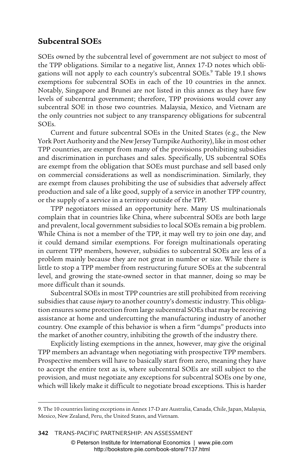#### **Subcentral SOEs**

SOEs owned by the subcentral level of government are not subject to most of the TPP obligations. Similar to a negative list, Annex 17-D notes which obligations will not apply to each country's subcentral SOEs.<sup>9</sup> Table 19.1 shows exemptions for subcentral SOEs in each of the 10 countries in the annex. Notably, Singapore and Brunei are not listed in this annex as they have few levels of subcentral government; therefore, TPP provisions would cover any subcentral SOE in those two countries. Malaysia, Mexico, and Vietnam are the only countries not subject to any transparency obligations for subcentral SOEs.

Current and future subcentral SOEs in the United States (e.g., the New York Port Authority and the New Jersey Turnpike Authority), like in most other TPP countries, are exempt from many of the provisions prohibiting subsidies and discrimination in purchases and sales. Specifically, US subcentral SOEs are exempt from the obligation that SOEs must purchase and sell based only on commercial considerations as well as nondiscrimination. Similarly, they are exempt from clauses prohibiting the use of subsidies that adversely affect production and sale of a like good, supply of a service in another TPP country, or the supply of a service in a territory outside of the TPP.

TPP negotiators missed an opportunity here. Many US multinationals complain that in countries like China, where subcentral SOEs are both large and prevalent, local government subsidies to local SOEs remain a big problem. While China is not a member of the TPP, it may well try to join one day, and it could demand similar exemptions. For foreign multinationals operating in current TPP members, however, subsidies to subcentral SOEs are less of a problem mainly because they are not great in number or size. While there is little to stop a TPP member from restructuring future SOEs at the subcentral level, and growing the state-owned sector in that manner, doing so may be more difficult than it sounds.

Subcentral SOEs in most TPP countries are still prohibited from receiving subsidies that cause *injury* to another country's domestic industry. This obligation ensures some protection from large subcentral SOEs that may be receiving assistance at home and undercutting the manufacturing industry of another country. One example of this behavior is when a firm "dumps" products into the market of another country, inhibiting the growth of the industry there.

Explicitly listing exemptions in the annex, however, may give the original TPP members an advantage when negotiating with prospective TPP members. Prospective members will have to basically start from zero, meaning they have to accept the entire text as is, where subcentral SOEs are still subject to the provision, and must negotiate any exceptions for subcentral SOEs one by one, which will likely make it difficult to negotiate broad exceptions. This is harder

#### **342** TRANS-PACIFIC PARTNERSHIP: AN ASSESSMENT

<sup>9.</sup> The 10 countries listing exceptions in Annex 17-D are Australia, Canada, Chile, Japan, Malaysia, Mexico, New Zealand, Peru, the United States, and Vietnam.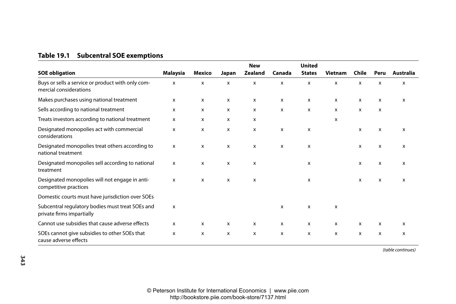| Table 19.1 Subcentral SOE exemptions |  |  |
|--------------------------------------|--|--|

|                                                                               |          |        |              | <b>New</b>                |        | <b>United</b> |                           |       |              |                           |
|-------------------------------------------------------------------------------|----------|--------|--------------|---------------------------|--------|---------------|---------------------------|-------|--------------|---------------------------|
| <b>SOE obligation</b>                                                         | Malaysia | Mexico | Japan        | <b>Zealand</b>            | Canada | <b>States</b> | Vietnam                   | Chile | Peru         | Australia                 |
| Buys or sells a service or product with only com-<br>mercial considerations   | X        | x      | X            | X                         | X      | X             | X                         | X     | X            | X                         |
| Makes purchases using national treatment                                      | x        | х      | x            | x                         | x      | х             | x                         | x     | x            | x                         |
| Sells according to national treatment                                         | x        | x      | x            | x                         | x      | x             | x                         | x     | x            |                           |
| Treats investors according to national treatment                              | x        | x      | x            | х                         |        |               | x                         |       |              |                           |
| Designated monopolies act with commercial<br>considerations                   | x        | x      | X            | x                         | x      | X             |                           | x     | $\mathsf{x}$ | $\boldsymbol{\mathsf{x}}$ |
| Designated monopolies treat others according to<br>national treatment         | X        | x      | x            | $\boldsymbol{\mathsf{x}}$ | x      | х             |                           | x     | x            | $\boldsymbol{\mathsf{x}}$ |
| Designated monopolies sell according to national<br>treatment                 | x        | x      | x            | x                         |        | x             |                           | x     | x            | x                         |
| Designated monopolies will not engage in anti-<br>competitive practices       | x        | x      | x            | х                         |        | X             |                           | х     | x            | x                         |
| Domestic courts must have jurisdiction over SOEs                              |          |        |              |                           |        |               |                           |       |              |                           |
| Subcentral regulatory bodies must treat SOEs and<br>private firms impartially | x        |        |              |                           | x      | X             | X                         |       |              |                           |
| Cannot use subsidies that cause adverse effects                               | x        | x      | x            | x                         | x      | x             | x                         | x     | x            | x                         |
| SOEs cannot give subsidies to other SOEs that<br>cause adverse effects        | x        | x      | $\mathsf{x}$ | $\mathsf{x}$              | x      | X             | $\boldsymbol{\mathsf{x}}$ | x     | x            | $\boldsymbol{\mathsf{x}}$ |

*(table continues)*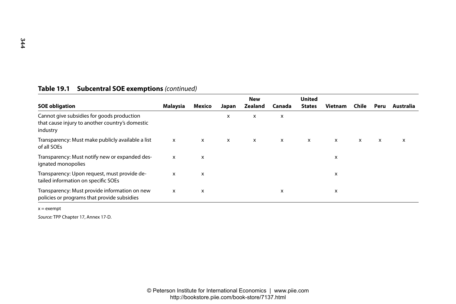| <b>SOE obligation</b>                                                                                     | Malaysia | Mexico                    | Japan                     | <b>New</b><br><b>Zealand</b> | Canada | <b>United</b><br><b>States</b> | <b>Vietnam</b> | Chile        | Peru | Australia |
|-----------------------------------------------------------------------------------------------------------|----------|---------------------------|---------------------------|------------------------------|--------|--------------------------------|----------------|--------------|------|-----------|
| Cannot give subsidies for goods production<br>that cause injury to another country's domestic<br>industry |          |                           | X                         | x                            | X      |                                |                |              |      |           |
| Transparency: Must make publicly available a list<br>of all SOEs                                          | x        | $\boldsymbol{\mathsf{x}}$ | $\boldsymbol{\mathsf{x}}$ | $\mathsf{x}$                 | x      | $\boldsymbol{\mathsf{x}}$      | $\mathsf{x}$   | $\mathsf{x}$ | X    | x         |
| Transparency: Must notify new or expanded des-<br>ignated monopolies                                      | x        | X                         |                           |                              |        |                                | x              |              |      |           |
| Transparency: Upon request, must provide de-<br>tailed information on specific SOEs                       | x        | X                         |                           |                              |        |                                | x              |              |      |           |
| Transparency: Must provide information on new<br>policies or programs that provide subsidies              | x        | x                         |                           |                              | х      |                                | х              |              |      |           |

#### **Table 19.1 Subcentral SOE exemptions** *(continued)*

 $x =$  exempt

*Source:* TPP Chapter 17, Annex 17-D.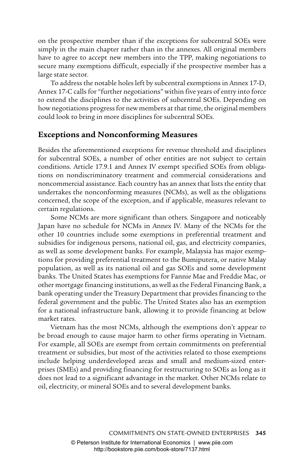on the prospective member than if the exceptions for subcentral SOEs were simply in the main chapter rather than in the annexes. All original members have to agree to accept new members into the TPP, making negotiations to secure many exemptions difficult, especially if the prospective member has a large state sector.

To address the notable holes left by subcentral exemptions in Annex 17-D, Annex 17-C calls for "further negotiations" within five years of entry into force to extend the disciplines to the activities of subcentral SOEs. Depending on how negotiations progress for new members at that time, the original members could look to bring in more disciplines for subcentral SOEs.

#### **Exceptions and Nonconforming Measures**

Besides the aforementioned exceptions for revenue threshold and disciplines for subcentral SOEs, a number of other entities are not subject to certain conditions. Article 17.9.1 and Annex IV exempt specified SOEs from obligations on nondiscriminatory treatment and commercial considerations and noncommercial assistance. Each country has an annex that lists the entity that undertakes the nonconforming measures (NCMs), as well as the obligations concerned, the scope of the exception, and if applicable, measures relevant to certain regulations.

Some NCMs are more significant than others. Singapore and noticeably Japan have no schedule for NCMs in Annex IV. Many of the NCMs for the other 10 countries include some exemptions in preferential treatment and subsidies for indigenous persons, national oil, gas, and electricity companies, as well as some development banks. For example, Malaysia has major exemptions for providing preferential treatment to the Bumiputera, or native Malay population, as well as its national oil and gas SOEs and some development banks. The United States has exemptions for Fannie Mae and Freddie Mac, or other mortgage financing institutions, as well as the Federal Financing Bank, a bank operating under the Treasury Department that provides financing to the federal government and the public. The United States also has an exemption for a national infrastructure bank, allowing it to provide financing at below market rates.

Vietnam has the most NCMs, although the exemptions don't appear to be broad enough to cause major harm to other firms operating in Vietnam. For example, all SOEs are exempt from certain commitments on preferential treatment or subsidies, but most of the activities related to those exemptions include helping underdeveloped areas and small and medium-sized enterprises (SMEs) and providing financing for restructuring to SOEs as long as it does not lead to a significant advantage in the market. Other NCMs relate to oil, electricity, or mineral SOEs and to several development banks.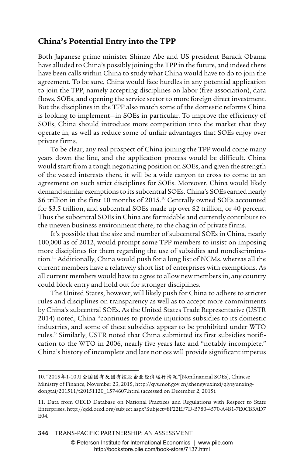#### **China's Potential Entry into the TPP**

Both Japanese prime minister Shinzo Abe and US president Barack Obama have alluded to China's possibly joining the TPP in the future, and indeed there have been calls within China to study what China would have to do to join the agreement. To be sure, China would face hurdles in any potential application to join the TPP, namely accepting disciplines on labor (free association), data flows, SOEs, and opening the service sector to more foreign direct investment. But the disciplines in the TPP also match some of the domestic reforms China is looking to implement—in SOEs in particular. To improve the efficiency of SOEs, China should introduce more competition into the market that they operate in, as well as reduce some of unfair advantages that SOEs enjoy over private firms.

To be clear, any real prospect of China joining the TPP would come many years down the line, and the application process would be difficult. China would start from a tough negotiating position on SOEs, and given the strength of the vested interests there, it will be a wide canyon to cross to come to an agreement on such strict disciplines for SOEs. Moreover, China would likely demand similar exemptions to its subcentral SOEs. China's SOEs earned nearly \$6 trillion in the first 10 months of 2015.<sup>10</sup> Centrally owned SOEs accounted for \$3.5 trillion, and subcentral SOEs made up over \$2 trillion, or 40 percent. Thus the subcentral SOEs in China are formidable and currently contribute to the uneven business environment there, to the chagrin of private firms.

It's possible that the size and number of subcentral SOEs in China, nearly 100,000 as of 2012, would prompt some TPP members to insist on imposing more disciplines for them regarding the use of subsidies and nondiscrimination.<sup>11</sup> Additionally, China would push for a long list of NCMs, whereas all the current members have a relatively short list of enterprises with exemptions. As all current members would have to agree to allow new members in, any country could block entry and hold out for stronger disciplines.

The United States, however, will likely push for China to adhere to stricter rules and disciplines on transparency as well as to accept more commitments by China's subcentral SOEs. As the United States Trade Representative (USTR 2014) noted, China "continues to provide injurious subsidies to its domestic industries, and some of these subsidies appear to be prohibited under WTO rules." Similarly, USTR noted that China submitted its first subsidies notification to the WTO in 2006, nearly five years late and "notably incomplete." China's history of incomplete and late notices will provide significant impetus

**346** TRANS-PACIFIC PARTNERSHIP: AN ASSESSMENT

<sup>10. &</sup>quot;2015年1-10月全国国有及国有控股企业经济运行情况"[Nonfinancial SOEs], Chinese Ministry of Finance, November 23, 2015, http://qys.mof.gov.cn/zhengwuxinxi/qiyeyunxingdongtai/201511/t20151120\_1574607.html (accessed on December 2, 2015).

<sup>11.</sup> Data from OECD Database on National Practices and Regulations with Respect to State Enterprises, http://qdd.oecd.org/subject.aspx?Subject=8F22EF7D-B780-4570-A4B1-7E0CB3AD7 E04.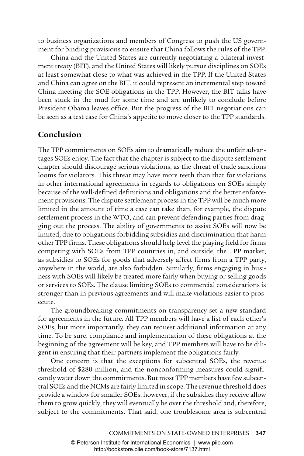to business organizations and members of Congress to push the US government for binding provisions to ensure that China follows the rules of the TPP.

China and the United States are currently negotiating a bilateral investment treaty (BIT), and the United States will likely pursue disciplines on SOEs at least somewhat close to what was achieved in the TPP. If the United States and China can agree on the BIT, it could represent an incremental step toward China meeting the SOE obligations in the TPP. However, the BIT talks have been stuck in the mud for some time and are unlikely to conclude before President Obama leaves office. But the progress of the BIT negotiations can be seen as a test case for China's appetite to move closer to the TPP standards.

#### **Conclusion**

The TPP commitments on SOEs aim to dramatically reduce the unfair advantages SOEs enjoy. The fact that the chapter is subject to the dispute settlement chapter should discourage serious violations, as the threat of trade sanctions looms for violators. This threat may have more teeth than that for violations in other international agreements in regards to obligations on SOEs simply because of the well-defined definitions and obligations and the better enforcement provisions. The dispute settlement process in the TPP will be much more limited in the amount of time a case can take than, for example, the dispute settlement process in the WTO, and can prevent defending parties from dragging out the process. The ability of governments to assist SOEs will now be limited, due to obligations forbidding subsidies and discrimination that harm other TPP firms. These obligations should help level the playing field for firms competing with SOEs from TPP countries in, and outside, the TPP market, as subsidies to SOEs for goods that adversely affect firms from a TPP party, anywhere in the world, are also forbidden. Similarly, firms engaging in business with SOEs will likely be treated more fairly when buying or selling goods or services to SOEs. The clause limiting SOEs to commercial considerations is stronger than in previous agreements and will make violations easier to prosecute.

The groundbreaking commitments on transparency set a new standard for agreements in the future. All TPP members will have a list of each other's SOEs, but more importantly, they can request additional information at any time. To be sure, compliance and implementation of these obligations at the beginning of the agreement will be key, and TPP members will have to be diligent in ensuring that their partners implement the obligations fairly.

One concern is that the exceptions for subcentral SOEs, the revenue threshold of \$280 million, and the nonconforming measures could significantly water down the commitments. But most TPP members have few subcentral SOEs and the NCMs are fairly limited in scope. The revenue threshold does provide a window for smaller SOEs; however, if the subsidies they receive allow them to grow quickly, they will eventually be over the threshold and, therefore, subject to the commitments. That said, one troublesome area is subcentral